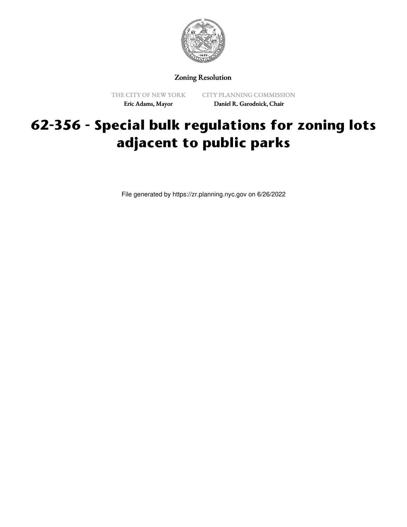

Zoning Resolution

THE CITY OF NEW YORK Eric Adams, Mayor

CITY PLANNING COMMISSION Daniel R. Garodnick, Chair

## **62-356 - Special bulk regulations for zoning lots adjacent to public parks**

File generated by https://zr.planning.nyc.gov on 6/26/2022